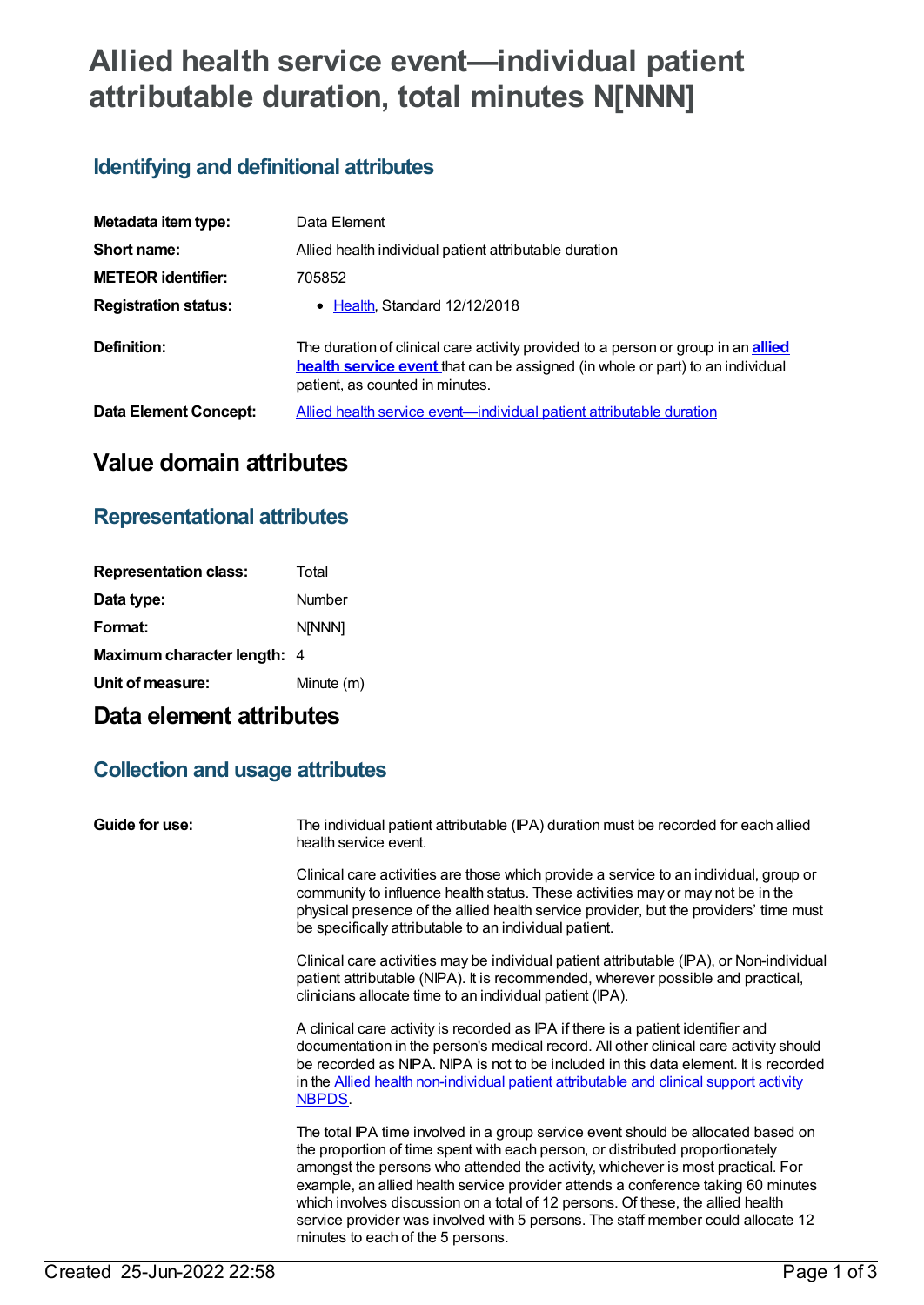# **Allied health service event—individual patient attributable duration, total minutes N[NNN]**

## **Identifying and definitional attributes**

| Metadata item type:         | Data Element                                                                                                                                                                                                 |
|-----------------------------|--------------------------------------------------------------------------------------------------------------------------------------------------------------------------------------------------------------|
| Short name:                 | Allied health individual patient attributable duration                                                                                                                                                       |
| <b>METEOR identifier:</b>   | 705852                                                                                                                                                                                                       |
| <b>Registration status:</b> | • Health, Standard 12/12/2018                                                                                                                                                                                |
| Definition:                 | The duration of clinical care activity provided to a person or group in an <b>allied</b><br>health service event that can be assigned (in whole or part) to an individual<br>patient, as counted in minutes. |
| Data Element Concept:       | Allied health service event-individual patient attributable duration                                                                                                                                         |

## **Value domain attributes**

### **Representational attributes**

| <b>Representation class:</b>       | Total         |
|------------------------------------|---------------|
| Data type:                         | Number        |
| Format:                            | <b>N[NNN]</b> |
| <b>Maximum character length: 4</b> |               |
| Unit of measure:                   | Minute (m)    |
|                                    |               |

## **Data element attributes**

### **Collection and usage attributes**

| Guide for use: | The individual patient attributable (IPA) duration must be recorded for each allied<br>health service event.                                                                                                                                                                                                                                                                                                                                                                                                                                           |
|----------------|--------------------------------------------------------------------------------------------------------------------------------------------------------------------------------------------------------------------------------------------------------------------------------------------------------------------------------------------------------------------------------------------------------------------------------------------------------------------------------------------------------------------------------------------------------|
|                | Clinical care activities are those which provide a service to an individual, group or<br>community to influence health status. These activities may or may not be in the<br>physical presence of the allied health service provider, but the providers' time must<br>be specifically attributable to an individual patient.                                                                                                                                                                                                                            |
|                | Clinical care activities may be individual patient attributable (IPA), or Non-individual<br>patient attributable (NIPA). It is recommended, wherever possible and practical,<br>clinicians allocate time to an individual patient (IPA).                                                                                                                                                                                                                                                                                                               |
|                | A clinical care activity is recorded as IPA if there is a patient identifier and<br>documentation in the person's medical record. All other clinical care activity should<br>be recorded as NIPA. NIPA is not to be included in this data element. It is recorded<br>in the <b>Allied health non-individual patient attributable and clinical support activity</b><br>NBPDS.                                                                                                                                                                           |
|                | The total IPA time involved in a group service event should be allocated based on<br>the proportion of time spent with each person, or distributed proportionately<br>amongst the persons who attended the activity, whichever is most practical. For<br>example, an allied health service provider attends a conference taking 60 minutes<br>which involves discussion on a total of 12 persons. Of these, the allied health<br>service provider was involved with 5 persons. The staff member could allocate 12<br>minutes to each of the 5 persons. |
|                |                                                                                                                                                                                                                                                                                                                                                                                                                                                                                                                                                        |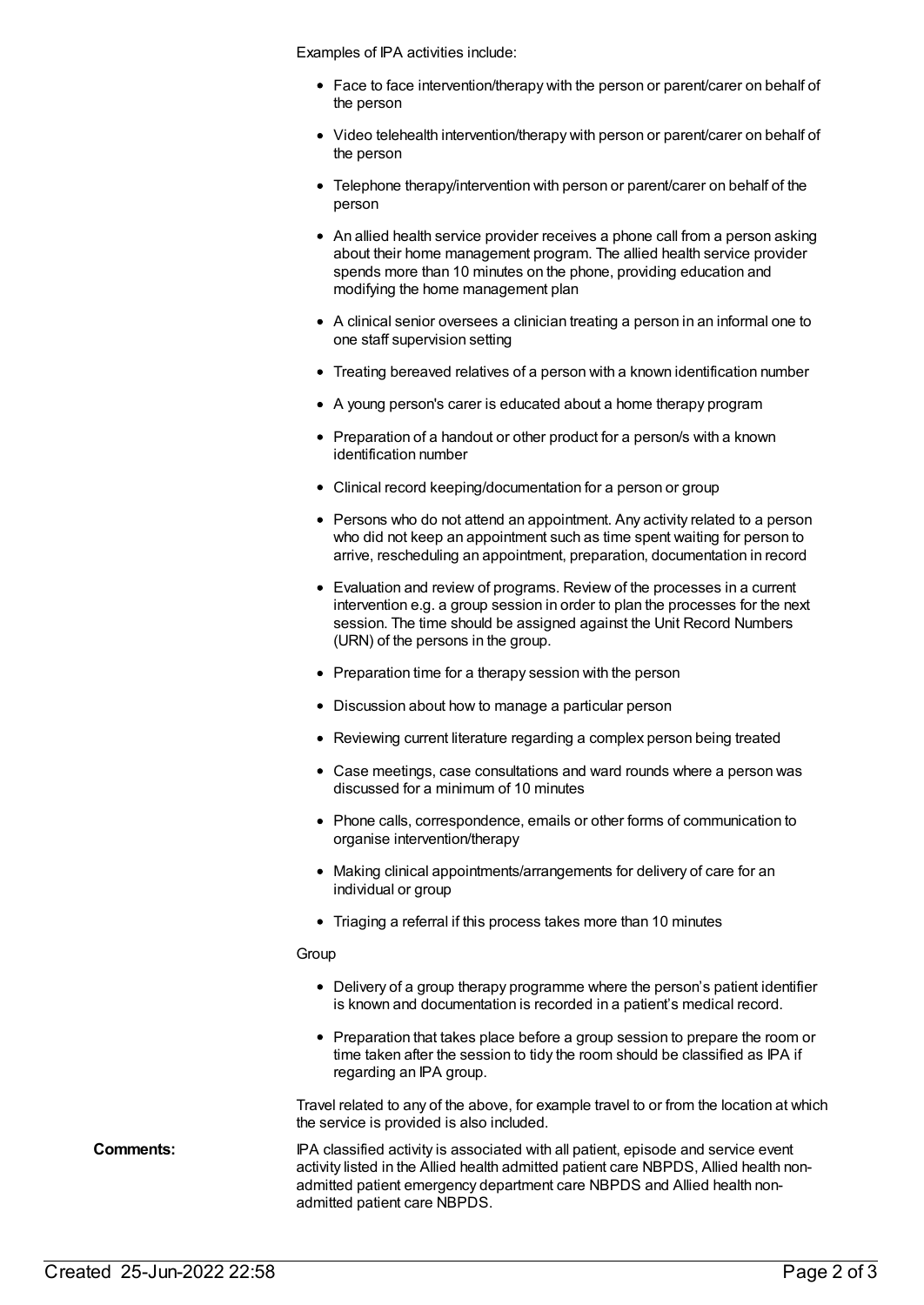Examples of IPA activities include:

- Face to face intervention/therapy with the person or parent/carer on behalf of the person
- Video telehealth intervention/therapy with person or parent/carer on behalf of the person
- Telephone therapy/intervention with person or parent/carer on behalf of the person
- An allied health service provider receives a phone call from a person asking about their home management program. The allied health service provider spends more than 10 minutes on the phone, providing education and modifying the home management plan
- A clinical senior oversees a clinician treating a person in an informal one to one staff supervision setting
- Treating bereaved relatives of a person with a known identification number
- A young person's carer is educated about a home therapy program
- Preparation of a handout or other product for a person/s with a known identification number
- Clinical record keeping/documentation for a person or group
- Persons who do not attend an appointment. Any activity related to a person who did not keep an appointment such as time spent waiting for person to arrive, rescheduling an appointment, preparation, documentation in record
- Evaluation and review of programs. Review of the processes in a current intervention e.g. a group session in order to plan the processes for the next session. The time should be assigned against the Unit Record Numbers (URN) of the persons in the group.
- Preparation time for a therapy session with the person
- Discussion about how to manage a particular person
- Reviewing current literature regarding a complex person being treated
- Case meetings, case consultations and ward rounds where a person was discussed for a minimum of 10 minutes
- Phone calls, correspondence, emails or other forms of communication to organise intervention/therapy
- Making clinical appointments/arrangements for delivery of care for an individual or group
- Triaging a referral if this process takes more than 10 minutes

#### **Group**

- Delivery of a group therapy programme where the person's patient identifier is known and documentation is recorded in a patient's medical record.
- Preparation that takes place before a group session to prepare the room or time taken after the session to tidy the room should be classified as IPA if regarding an IPA group.

Travel related to any of the above, for example travel to or from the location at which the service is provided is also included.

**Comments:** IPA classified activity is associated with all patient, episode and service event activity listed in the Allied health admitted patient care NBPDS, Allied health nonadmitted patient emergency department care NBPDS and Allied health nonadmitted patient care NBPDS.